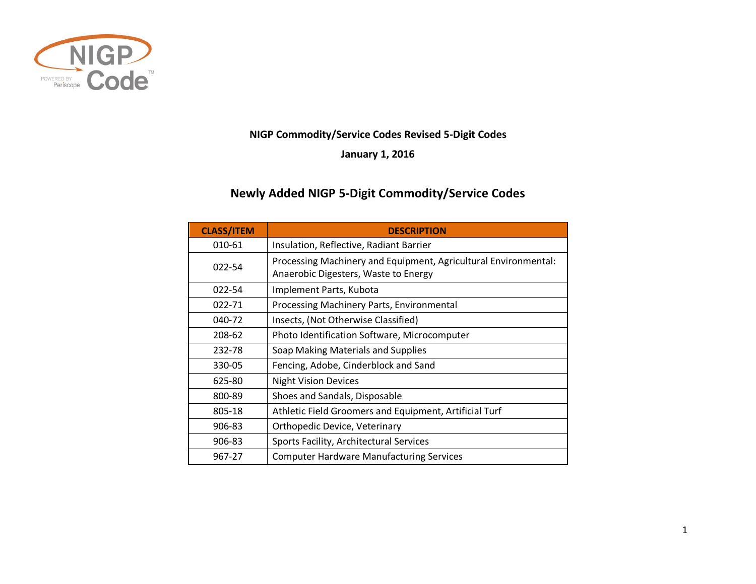

## **NIGP Commodity/Service Codes Revised 5-Digit Codes**

**January 1, 2016**

## **Newly Added NIGP 5-Digit Commodity/Service Codes**

| <b>CLASS/ITEM</b> | <b>DESCRIPTION</b>                                                                                      |
|-------------------|---------------------------------------------------------------------------------------------------------|
| 010-61            | Insulation, Reflective, Radiant Barrier                                                                 |
| 022-54            | Processing Machinery and Equipment, Agricultural Environmental:<br>Anaerobic Digesters, Waste to Energy |
| 022-54            | Implement Parts, Kubota                                                                                 |
| 022-71            | Processing Machinery Parts, Environmental                                                               |
| 040-72            | Insects, (Not Otherwise Classified)                                                                     |
| 208-62            | Photo Identification Software, Microcomputer                                                            |
| 232-78            | Soap Making Materials and Supplies                                                                      |
| 330-05            | Fencing, Adobe, Cinderblock and Sand                                                                    |
| 625-80            | <b>Night Vision Devices</b>                                                                             |
| 800-89            | Shoes and Sandals, Disposable                                                                           |
| 805-18            | Athletic Field Groomers and Equipment, Artificial Turf                                                  |
| 906-83            | Orthopedic Device, Veterinary                                                                           |
| 906-83            | Sports Facility, Architectural Services                                                                 |
| 967-27            | <b>Computer Hardware Manufacturing Services</b>                                                         |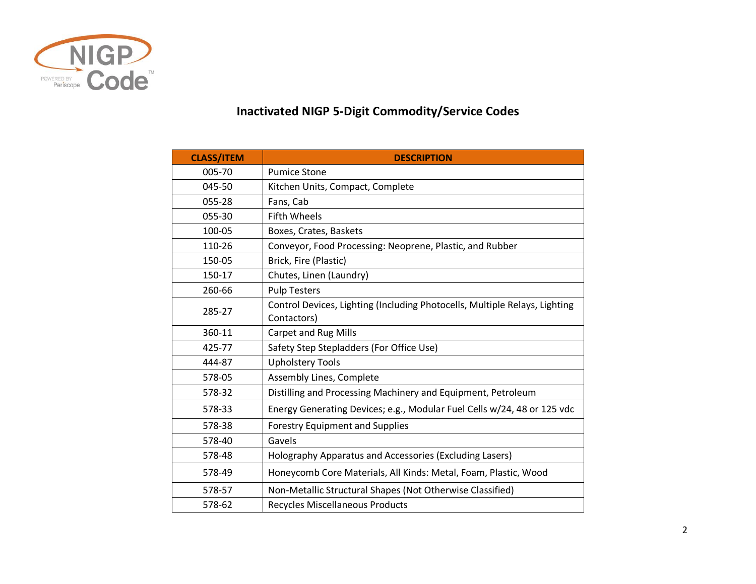

## **Inactivated NIGP 5-Digit Commodity/Service Codes**

| <b>CLASS/ITEM</b> | <b>DESCRIPTION</b>                                                         |
|-------------------|----------------------------------------------------------------------------|
| 005-70            | <b>Pumice Stone</b>                                                        |
| 045-50            | Kitchen Units, Compact, Complete                                           |
| 055-28            | Fans, Cab                                                                  |
| 055-30            | <b>Fifth Wheels</b>                                                        |
| 100-05            | Boxes, Crates, Baskets                                                     |
| 110-26            | Conveyor, Food Processing: Neoprene, Plastic, and Rubber                   |
| 150-05            | Brick, Fire (Plastic)                                                      |
| 150-17            | Chutes, Linen (Laundry)                                                    |
| 260-66            | <b>Pulp Testers</b>                                                        |
| 285-27            | Control Devices, Lighting (Including Photocells, Multiple Relays, Lighting |
|                   | Contactors)                                                                |
| 360-11            | Carpet and Rug Mills                                                       |
| 425-77            | Safety Step Stepladders (For Office Use)                                   |
| 444-87            | <b>Upholstery Tools</b>                                                    |
| 578-05            | Assembly Lines, Complete                                                   |
| 578-32            | Distilling and Processing Machinery and Equipment, Petroleum               |
| 578-33            | Energy Generating Devices; e.g., Modular Fuel Cells w/24, 48 or 125 vdc    |
| 578-38            | <b>Forestry Equipment and Supplies</b>                                     |
| 578-40            | Gavels                                                                     |
| 578-48            | Holography Apparatus and Accessories (Excluding Lasers)                    |
| 578-49            | Honeycomb Core Materials, All Kinds: Metal, Foam, Plastic, Wood            |
| 578-57            | Non-Metallic Structural Shapes (Not Otherwise Classified)                  |
| 578-62            | <b>Recycles Miscellaneous Products</b>                                     |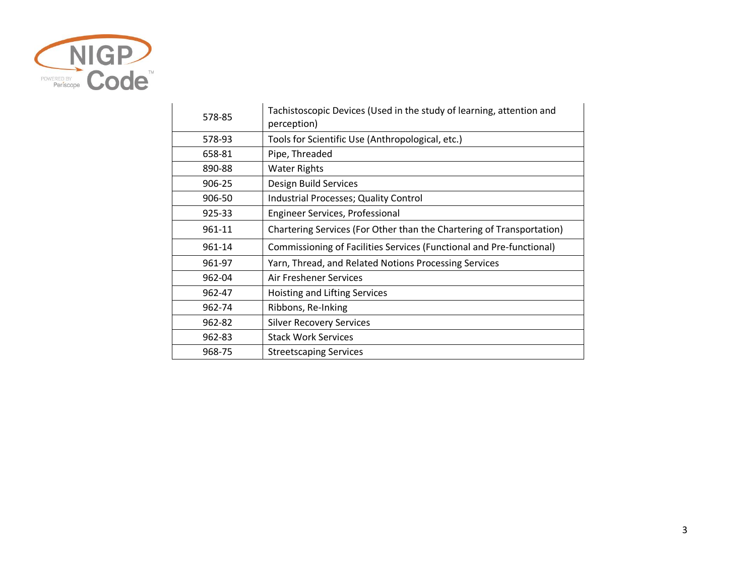

| 578-85 | Tachistoscopic Devices (Used in the study of learning, attention and<br>perception) |
|--------|-------------------------------------------------------------------------------------|
| 578-93 | Tools for Scientific Use (Anthropological, etc.)                                    |
| 658-81 | Pipe, Threaded                                                                      |
| 890-88 | <b>Water Rights</b>                                                                 |
| 906-25 | Design Build Services                                                               |
| 906-50 | Industrial Processes; Quality Control                                               |
| 925-33 | Engineer Services, Professional                                                     |
| 961-11 | Chartering Services (For Other than the Chartering of Transportation)               |
| 961-14 | Commissioning of Facilities Services (Functional and Pre-functional)                |
| 961-97 | Yarn, Thread, and Related Notions Processing Services                               |
| 962-04 | Air Freshener Services                                                              |
| 962-47 | Hoisting and Lifting Services                                                       |
| 962-74 | Ribbons, Re-Inking                                                                  |
| 962-82 | <b>Silver Recovery Services</b>                                                     |
| 962-83 | <b>Stack Work Services</b>                                                          |
| 968-75 | <b>Streetscaping Services</b>                                                       |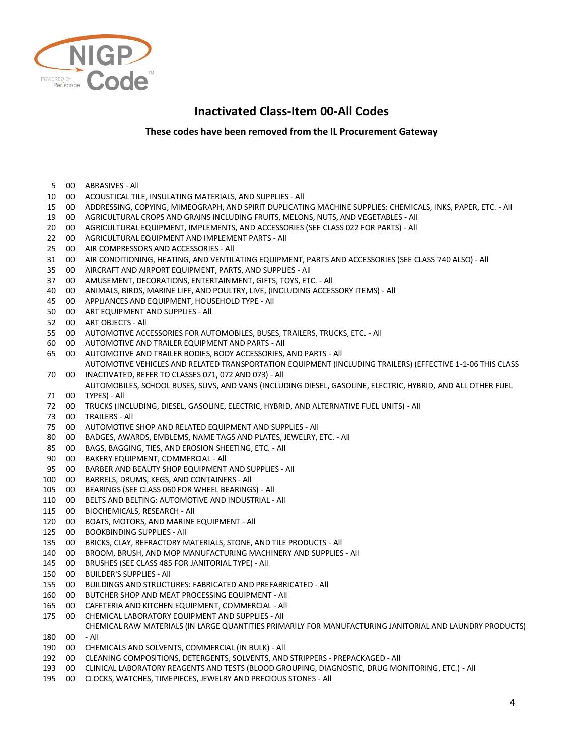

## **Inactivated Class-Item 00-All Codes**

**These codes have been removed from the IL Procurement Gateway**

 00 ABRASIVES - All 00 ACOUSTICAL TILE, INSULATING MATERIALS, AND SUPPLIES - All 00 ADDRESSING, COPYING, MIMEOGRAPH, AND SPIRIT DUPLICATING MACHINE SUPPLIES: CHEMICALS, INKS, PAPER, ETC. - All 00 AGRICULTURAL CROPS AND GRAINS INCLUDING FRUITS, MELONS, NUTS, AND VEGETABLES - All 00 AGRICULTURAL EQUIPMENT, IMPLEMENTS, AND ACCESSORIES (SEE CLASS 022 FOR PARTS) - All 00 AGRICULTURAL EQUIPMENT AND IMPLEMENT PARTS - All 00 AIR COMPRESSORS AND ACCESSORIES - All 00 AIR CONDITIONING, HEATING, AND VENTILATING EQUIPMENT, PARTS AND ACCESSORIES (SEE CLASS 740 ALSO) - All 00 AIRCRAFT AND AIRPORT EQUIPMENT, PARTS, AND SUPPLIES - All 00 AMUSEMENT, DECORATIONS, ENTERTAINMENT, GIFTS, TOYS, ETC. - All 00 ANIMALS, BIRDS, MARINE LIFE, AND POULTRY, LIVE, (INCLUDING ACCESSORY ITEMS) - All 00 APPLIANCES AND EQUIPMENT, HOUSEHOLD TYPE - All 00 ART EQUIPMENT AND SUPPLIES - All 00 ART OBJECTS - All 00 AUTOMOTIVE ACCESSORIES FOR AUTOMOBILES, BUSES, TRAILERS, TRUCKS, ETC. - All 00 AUTOMOTIVE AND TRAILER EQUIPMENT AND PARTS - All 00 AUTOMOTIVE AND TRAILER BODIES, BODY ACCESSORIES, AND PARTS - All 00 INACTIVATED, REFER TO CLASSES 071, 072 AND 073) - All AUTOMOTIVE VEHICLES AND RELATED TRANSPORTATION EQUIPMENT (INCLUDING TRAILERS) (EFFECTIVE 1-1-06 THIS CLASS 00 AUTOMOBILES, SCHOOL BUSES, SUVS, AND VANS (INCLUDING DIESEL, GASOLINE, ELECTRIC, HYBRID, AND ALL OTHER FUEL TYPES) - All 00 TRUCKS (INCLUDING, DIESEL, GASOLINE, ELECTRIC, HYBRID, AND ALTERNATIVE FUEL UNITS) - All 00 TRAILERS - All 00 AUTOMOTIVE SHOP AND RELATED EQUIPMENT AND SUPPLIES - All 00 BADGES, AWARDS, EMBLEMS, NAME TAGS AND PLATES, JEWELRY, ETC. - All 00 BAGS, BAGGING, TIES, AND EROSION SHEETING, ETC. - All 00 BAKERY EQUIPMENT, COMMERCIAL - All 00 BARBER AND BEAUTY SHOP EQUIPMENT AND SUPPLIES - All 00 BARRELS, DRUMS, KEGS, AND CONTAINERS - All 00 BEARINGS (SEE CLASS 060 FOR WHEEL BEARINGS) - All 00 BELTS AND BELTING: AUTOMOTIVE AND INDUSTRIAL - All 00 BIOCHEMICALS, RESEARCH - All 00 BOATS, MOTORS, AND MARINE EQUIPMENT - All 00 BOOKBINDING SUPPLIES - All 00 BRICKS, CLAY, REFRACTORY MATERIALS, STONE, AND TILE PRODUCTS - All 00 BROOM, BRUSH, AND MOP MANUFACTURING MACHINERY AND SUPPLIES - All 00 BRUSHES (SEE CLASS 485 FOR JANITORIAL TYPE) - All 00 BUILDER'S SUPPLIES - All 00 BUILDINGS AND STRUCTURES: FABRICATED AND PREFABRICATED - All 00 BUTCHER SHOP AND MEAT PROCESSING EQUIPMENT - All 00 CAFETERIA AND KITCHEN EQUIPMENT, COMMERCIAL - All 00 CHEMICAL LABORATORY EQUIPMENT AND SUPPLIES - All 00 - All CHEMICAL RAW MATERIALS (IN LARGE QUANTITIES PRIMARILY FOR MANUFACTURING JANITORIAL AND LAUNDRY PRODUCTS) 00 CHEMICALS AND SOLVENTS, COMMERCIAL (IN BULK) - All 00 CLEANING COMPOSITIONS, DETERGENTS, SOLVENTS, AND STRIPPERS - PREPACKAGED - All 00 CLINICAL LABORATORY REAGENTS AND TESTS (BLOOD GROUPING, DIAGNOSTIC, DRUG MONITORING, ETC.) - All 00 CLOCKS, WATCHES, TIMEPIECES, JEWELRY AND PRECIOUS STONES - All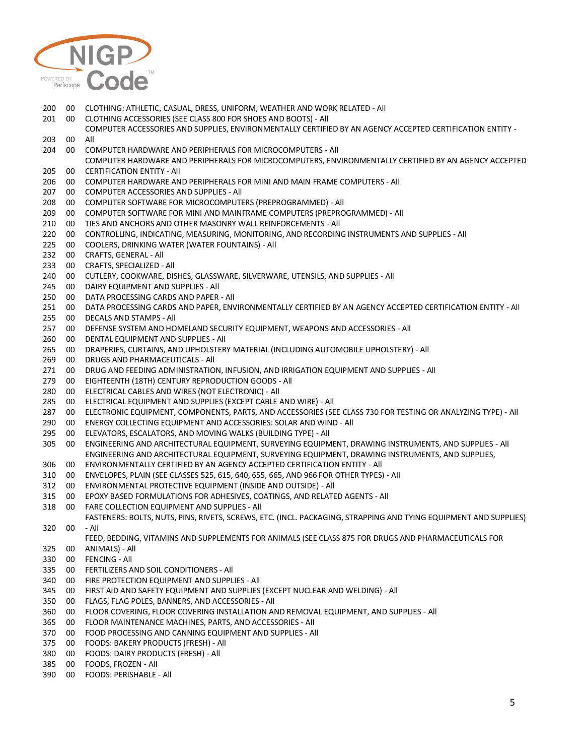

- 00 CLOTHING: ATHLETIC, CASUAL, DRESS, UNIFORM, WEATHER AND WORK RELATED All 00 CLOTHING ACCESSORIES (SEE CLASS 800 FOR SHOES AND BOOTS) - All 00 COMPUTER ACCESSORIES AND SUPPLIES, ENVIRONMENTALLY CERTIFIED BY AN AGENCY ACCEPTED CERTIFICATION ENTITY - All 00 COMPUTER HARDWARE AND PERIPHERALS FOR MICROCOMPUTERS - All 00 COMPUTER HARDWARE AND PERIPHERALS FOR MICROCOMPUTERS, ENVIRONMENTALLY CERTIFIED BY AN AGENCY ACCEPTED CERTIFICATION ENTITY - All 00 COMPUTER HARDWARE AND PERIPHERALS FOR MINI AND MAIN FRAME COMPUTERS - All 00 COMPUTER ACCESSORIES AND SUPPLIES - All 00 COMPUTER SOFTWARE FOR MICROCOMPUTERS (PREPROGRAMMED) - All 00 COMPUTER SOFTWARE FOR MINI AND MAINFRAME COMPUTERS (PREPROGRAMMED) - All 00 TIES AND ANCHORS AND OTHER MASONRY WALL REINFORCEMENTS - All 00 CONTROLLING, INDICATING, MEASURING, MONITORING, AND RECORDING INSTRUMENTS AND SUPPLIES - All 00 COOLERS, DRINKING WATER (WATER FOUNTAINS) - All 232 00 CRAFTS, GENERAL - All<br>233 00 CRAFTS, SPECIALIZED -CRAFTS, SPECIALIZED - All 00 CUTLERY, COOKWARE, DISHES, GLASSWARE, SILVERWARE, UTENSILS, AND SUPPLIES - All DAIRY EQUIPMENT AND SUPPLIES - All 00 DATA PROCESSING CARDS AND PAPER - All 00 DATA PROCESSING CARDS AND PAPER, ENVIRONMENTALLY CERTIFIED BY AN AGENCY ACCEPTED CERTIFICATION ENTITY - All 255 00 DECALS AND STAMPS - All<br>257 00 DEFENSE SYSTEM AND HO 00 DEFENSE SYSTEM AND HOMELAND SECURITY EQUIPMENT, WEAPONS AND ACCESSORIES - All 00 DENTAL EQUIPMENT AND SUPPLIES - All 00 DRAPERIES, CURTAINS, AND UPHOLSTERY MATERIAL (INCLUDING AUTOMOBILE UPHOLSTERY) - All 00 DRUGS AND PHARMACEUTICALS - All 00 DRUG AND FEEDING ADMINISTRATION, INFUSION, AND IRRIGATION EQUIPMENT AND SUPPLIES - All 00 EIGHTEENTH (18TH) CENTURY REPRODUCTION GOODS - All 00 ELECTRICAL CABLES AND WIRES (NOT ELECTRONIC) - All 00 ELECTRICAL EQUIPMENT AND SUPPLIES (EXCEPT CABLE AND WIRE) - All 00 ELECTRONIC EQUIPMENT, COMPONENTS, PARTS, AND ACCESSORIES (SEE CLASS 730 FOR TESTING OR ANALYZING TYPE) - All 00 ENERGY COLLECTING EQUIPMENT AND ACCESSORIES: SOLAR AND WIND - All 00 ELEVATORS, ESCALATORS, AND MOVING WALKS (BUILDING TYPE) - All 00 ENGINEERING AND ARCHITECTURAL EQUIPMENT, SURVEYING EQUIPMENT, DRAWING INSTRUMENTS, AND SUPPLIES - All 00 ENGINEERING AND ARCHITECTURAL EQUIPMENT, SURVEYING EQUIPMENT, DRAWING INSTRUMENTS, AND SUPPLIES, ENVIRONMENTALLY CERTIFIED BY AN AGENCY ACCEPTED CERTIFICATION ENTITY - All 00 ENVELOPES, PLAIN (SEE CLASSES 525, 615, 640, 655, 665, AND 966 FOR OTHER TYPES) - All 00 ENVIRONMENTAL PROTECTIVE EQUIPMENT (INSIDE AND OUTSIDE) - All 00 EPOXY BASED FORMULATIONS FOR ADHESIVES, COATINGS, AND RELATED AGENTS - All 00 FARE COLLECTION EQUIPMENT AND SUPPLIES - All 00 - All FASTENERS: BOLTS, NUTS, PINS, RIVETS, SCREWS, ETC. (INCL. PACKAGING, STRAPPING AND TYING EQUIPMENT AND SUPPLIES) 00 FEED, BEDDING, VITAMINS AND SUPPLEMENTS FOR ANIMALS (SEE CLASS 875 FOR DRUGS AND PHARMACEUTICALS FOR ANIMALS) - All 00 FENCING - All 00 FERTILIZERS AND SOIL CONDITIONERS - All 00 FIRE PROTECTION EQUIPMENT AND SUPPLIES - All 00 FIRST AID AND SAFETY EQUIPMENT AND SUPPLIES (EXCEPT NUCLEAR AND WELDING) - All 00 FLAGS, FLAG POLES, BANNERS, AND ACCESSORIES - All 00 FLOOR COVERING, FLOOR COVERING INSTALLATION AND REMOVAL EQUIPMENT, AND SUPPLIES - All 00 FLOOR MAINTENANCE MACHINES, PARTS, AND ACCESSORIES - All 00 FOOD PROCESSING AND CANNING EQUIPMENT AND SUPPLIES - All 00 FOODS: BAKERY PRODUCTS (FRESH) - All 00 FOODS: DAIRY PRODUCTS (FRESH) - All 00 FOODS, FROZEN - All
- 00 FOODS: PERISHABLE All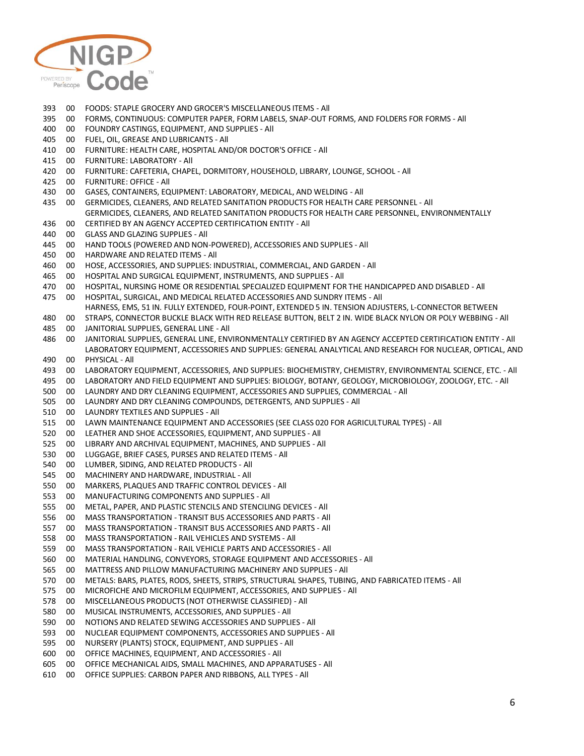

- 00 FOODS: STAPLE GROCERY AND GROCER'S MISCELLANEOUS ITEMS All
- 00 FORMS, CONTINUOUS: COMPUTER PAPER, FORM LABELS, SNAP-OUT FORMS, AND FOLDERS FOR FORMS All
- 00 FOUNDRY CASTINGS, EQUIPMENT, AND SUPPLIES All
- 00 FUEL, OIL, GREASE AND LUBRICANTS All
- 00 FURNITURE: HEALTH CARE, HOSPITAL AND/OR DOCTOR'S OFFICE All
- 00 FURNITURE: LABORATORY All
- 00 FURNITURE: CAFETERIA, CHAPEL, DORMITORY, HOUSEHOLD, LIBRARY, LOUNGE, SCHOOL All
- 00 FURNITURE: OFFICE All
- 00 GASES, CONTAINERS, EQUIPMENT: LABORATORY, MEDICAL, AND WELDING All
- 00 GERMICIDES, CLEANERS, AND RELATED SANITATION PRODUCTS FOR HEALTH CARE PERSONNEL All GERMICIDES, CLEANERS, AND RELATED SANITATION PRODUCTS FOR HEALTH CARE PERSONNEL, ENVIRONMENTALLY
- 00 CERTIFIED BY AN AGENCY ACCEPTED CERTIFICATION ENTITY - All
- 00 GLASS AND GLAZING SUPPLIES All
- 00 HAND TOOLS (POWERED AND NON-POWERED), ACCESSORIES AND SUPPLIES All
- 00 HARDWARE AND RELATED ITEMS All
- 00 HOSE, ACCESSORIES, AND SUPPLIES: INDUSTRIAL, COMMERCIAL, AND GARDEN All
- 00 HOSPITAL AND SURGICAL EQUIPMENT, INSTRUMENTS, AND SUPPLIES All
- 00 HOSPITAL, NURSING HOME OR RESIDENTIAL SPECIALIZED EQUIPMENT FOR THE HANDICAPPED AND DISABLED All
- 00 HOSPITAL, SURGICAL, AND MEDICAL RELATED ACCESSORIES AND SUNDRY ITEMS All HARNESS, EMS, 51 IN. FULLY EXTENDED, FOUR-POINT, EXTENDED 5 IN. TENSION ADJUSTERS, L-CONNECTOR BETWEEN
- 00 STRAPS, CONNECTOR BUCKLE BLACK WITH RED RELEASE BUTTON, BELT 2 IN. WIDE BLACK NYLON OR POLY WEBBING - All
- 00 JANITORIAL SUPPLIES, GENERAL LINE All
- 00 JANITORIAL SUPPLIES, GENERAL LINE, ENVIRONMENTALLY CERTIFIED BY AN AGENCY ACCEPTED CERTIFICATION ENTITY All 00 LABORATORY EQUIPMENT, ACCESSORIES AND SUPPLIES: GENERAL ANALYTICAL AND RESEARCH FOR NUCLEAR, OPTICAL, AND PHYSICAL - All
- 00 LABORATORY EQUIPMENT, ACCESSORIES, AND SUPPLIES: BIOCHEMISTRY, CHEMISTRY, ENVIRONMENTAL SCIENCE, ETC. All
- 00 LABORATORY AND FIELD EQUIPMENT AND SUPPLIES: BIOLOGY, BOTANY, GEOLOGY, MICROBIOLOGY, ZOOLOGY, ETC. All
- 00 LAUNDRY AND DRY CLEANING EQUIPMENT, ACCESSORIES AND SUPPLIES, COMMERCIAL All
- 00 LAUNDRY AND DRY CLEANING COMPOUNDS, DETERGENTS, AND SUPPLIES All
- 00 LAUNDRY TEXTILES AND SUPPLIES All
- 00 LAWN MAINTENANCE EQUIPMENT AND ACCESSORIES (SEE CLASS 020 FOR AGRICULTURAL TYPES) All
- 00 LEATHER AND SHOE ACCESSORIES, EQUIPMENT, AND SUPPLIES All
- 00 LIBRARY AND ARCHIVAL EQUIPMENT, MACHINES, AND SUPPLIES All
- 00 LUGGAGE, BRIEF CASES, PURSES AND RELATED ITEMS All
- 00 LUMBER, SIDING, AND RELATED PRODUCTS All
- 00 MACHINERY AND HARDWARE, INDUSTRIAL All
- 00 MARKERS, PLAQUES AND TRAFFIC CONTROL DEVICES All
- 00 MANUFACTURING COMPONENTS AND SUPPLIES All
- 00 METAL, PAPER, AND PLASTIC STENCILS AND STENCILING DEVICES All
- 00 MASS TRANSPORTATION TRANSIT BUS ACCESSORIES AND PARTS All
- 00 MASS TRANSPORTATION TRANSIT BUS ACCESSORIES AND PARTS All
- 00 MASS TRANSPORTATION RAIL VEHICLES AND SYSTEMS All
- 00 MASS TRANSPORTATION RAIL VEHICLE PARTS AND ACCESSORIES All
- 00 MATERIAL HANDLING, CONVEYORS, STORAGE EQUIPMENT AND ACCESSORIES All
- 00 MATTRESS AND PILLOW MANUFACTURING MACHINERY AND SUPPLIES All
- 00 METALS: BARS, PLATES, RODS, SHEETS, STRIPS, STRUCTURAL SHAPES, TUBING, AND FABRICATED ITEMS All
- 00 MICROFICHE AND MICROFILM EQUIPMENT, ACCESSORIES, AND SUPPLIES All
- 00 MISCELLANEOUS PRODUCTS (NOT OTHERWISE CLASSIFIED) All
- 00 MUSICAL INSTRUMENTS, ACCESSORIES, AND SUPPLIES All
- 00 NOTIONS AND RELATED SEWING ACCESSORIES AND SUPPLIES All
- 00 NUCLEAR EQUIPMENT COMPONENTS, ACCESSORIES AND SUPPLIES All
- 00 NURSERY (PLANTS) STOCK, EQUIPMENT, AND SUPPLIES All
- 00 OFFICE MACHINES, EQUIPMENT, AND ACCESSORIES All
- 00 OFFICE MECHANICAL AIDS, SMALL MACHINES, AND APPARATUSES All
- 00 OFFICE SUPPLIES: CARBON PAPER AND RIBBONS, ALL TYPES All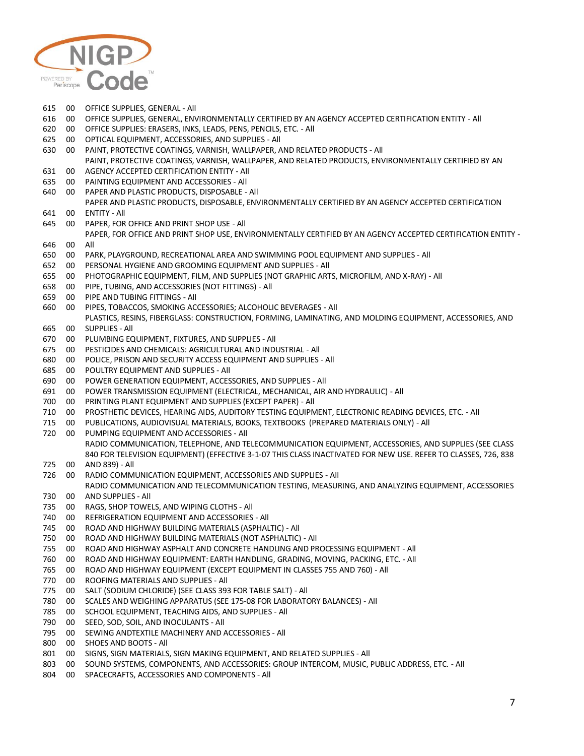

 00 OFFICE SUPPLIES, GENERAL - All 00 OFFICE SUPPLIES, GENERAL, ENVIRONMENTALLY CERTIFIED BY AN AGENCY ACCEPTED CERTIFICATION ENTITY - All 00 OFFICE SUPPLIES: ERASERS, INKS, LEADS, PENS, PENCILS, ETC. - All 00 OPTICAL EQUIPMENT, ACCESSORIES, AND SUPPLIES - All 00 PAINT, PROTECTIVE COATINGS, VARNISH, WALLPAPER, AND RELATED PRODUCTS - All 00 PAINT, PROTECTIVE COATINGS, VARNISH, WALLPAPER, AND RELATED PRODUCTS, ENVIRONMENTALLY CERTIFIED BY AN AGENCY ACCEPTED CERTIFICATION ENTITY - All 00 PAINTING EQUIPMENT AND ACCESSORIES - All 00 PAPER AND PLASTIC PRODUCTS, DISPOSABLE - All 00 PAPER AND PLASTIC PRODUCTS, DISPOSABLE, ENVIRONMENTALLY CERTIFIED BY AN AGENCY ACCEPTED CERTIFICATION ENTITY - All 00 PAPER, FOR OFFICE AND PRINT SHOP USE - All 00 PAPER, FOR OFFICE AND PRINT SHOP USE, ENVIRONMENTALLY CERTIFIED BY AN AGENCY ACCEPTED CERTIFICATION ENTITY - All 00 PARK, PLAYGROUND, RECREATIONAL AREA AND SWIMMING POOL EQUIPMENT AND SUPPLIES - All 00 PERSONAL HYGIENE AND GROOMING EQUIPMENT AND SUPPLIES - All 00 PHOTOGRAPHIC EQUIPMENT, FILM, AND SUPPLIES (NOT GRAPHIC ARTS, MICROFILM, AND X-RAY) - All 00 PIPE, TUBING, AND ACCESSORIES (NOT FITTINGS) - All 00 PIPE AND TUBING FITTINGS - All 00 PIPES, TOBACCOS, SMOKING ACCESSORIES; ALCOHOLIC BEVERAGES - All 00 PLASTICS, RESINS, FIBERGLASS: CONSTRUCTION, FORMING, LAMINATING, AND MOLDING EQUIPMENT, ACCESSORIES, AND SUPPLIES - All 00 PLUMBING EQUIPMENT, FIXTURES, AND SUPPLIES - All 00 PESTICIDES AND CHEMICALS: AGRICULTURAL AND INDUSTRIAL - All 00 POLICE, PRISON AND SECURITY ACCESS EQUIPMENT AND SUPPLIES - All 00 POULTRY EQUIPMENT AND SUPPLIES - All 00 POWER GENERATION EQUIPMENT, ACCESSORIES, AND SUPPLIES - All 00 POWER TRANSMISSION EQUIPMENT (ELECTRICAL, MECHANICAL, AIR AND HYDRAULIC) - All 00 PRINTING PLANT EQUIPMENT AND SUPPLIES (EXCEPT PAPER) - All 00 PROSTHETIC DEVICES, HEARING AIDS, AUDITORY TESTING EQUIPMENT, ELECTRONIC READING DEVICES, ETC. - All 00 PUBLICATIONS, AUDIOVISUAL MATERIALS, BOOKS, TEXTBOOKS (PREPARED MATERIALS ONLY) - All 00 PUMPING EQUIPMENT AND ACCESSORIES - All 00 RADIO COMMUNICATION, TELEPHONE, AND TELECOMMUNICATION EQUIPMENT, ACCESSORIES, AND SUPPLIES (SEE CLASS 840 FOR TELEVISION EQUIPMENT) (EFFECTIVE 3-1-07 THIS CLASS INACTIVATED FOR NEW USE. REFER TO CLASSES, 726, 838 AND 839) - All 00 RADIO COMMUNICATION EQUIPMENT, ACCESSORIES AND SUPPLIES - All 00 RADIO COMMUNICATION AND TELECOMMUNICATION TESTING, MEASURING, AND ANALYZING EQUIPMENT, ACCESSORIES AND SUPPLIES - All 00 RAGS, SHOP TOWELS, AND WIPING CLOTHS - All 00 REFRIGERATION EQUIPMENT AND ACCESSORIES - All 00 ROAD AND HIGHWAY BUILDING MATERIALS (ASPHALTIC) - All 00 ROAD AND HIGHWAY BUILDING MATERIALS (NOT ASPHALTIC) - All ROAD AND HIGHWAY ASPHALT AND CONCRETE HANDLING AND PROCESSING EQUIPMENT - All 00 ROAD AND HIGHWAY EQUIPMENT: EARTH HANDLING, GRADING, MOVING, PACKING, ETC. - All 00 ROAD AND HIGHWAY EQUIPMENT (EXCEPT EQUIPMENT IN CLASSES 755 AND 760) - All 00 ROOFING MATERIALS AND SUPPLIES - All 00 SALT (SODIUM CHLORIDE) (SEE CLASS 393 FOR TABLE SALT) - All 00 SCALES AND WEIGHING APPARATUS (SEE 175-08 FOR LABORATORY BALANCES) - All 00 SCHOOL EQUIPMENT, TEACHING AIDS, AND SUPPLIES - All 00 SEED, SOD, SOIL, AND INOCULANTS - All 00 SEWING ANDTEXTILE MACHINERY AND ACCESSORIES - All 00 SHOES AND BOOTS - All 00 SIGNS, SIGN MATERIALS, SIGN MAKING EQUIPMENT, AND RELATED SUPPLIES - All 00 SOUND SYSTEMS, COMPONENTS, AND ACCESSORIES: GROUP INTERCOM, MUSIC, PUBLIC ADDRESS, ETC. - All 00 SPACECRAFTS, ACCESSORIES AND COMPONENTS - All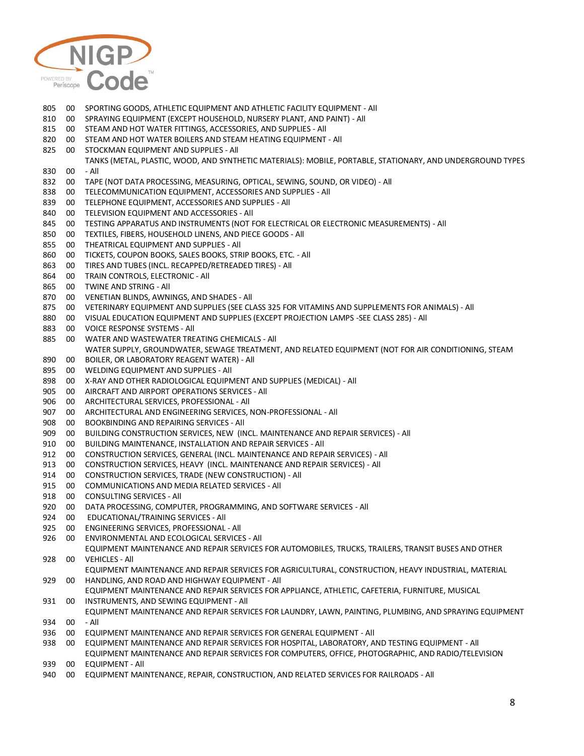

 00 SPORTING GOODS, ATHLETIC EQUIPMENT AND ATHLETIC FACILITY EQUIPMENT - All 00 SPRAYING EQUIPMENT (EXCEPT HOUSEHOLD, NURSERY PLANT, AND PAINT) - All 00 STEAM AND HOT WATER FITTINGS, ACCESSORIES, AND SUPPLIES - All 00 STEAM AND HOT WATER BOILERS AND STEAM HEATING EQUIPMENT - All 00 STOCKMAN EQUIPMENT AND SUPPLIES - All 00 TANKS (METAL, PLASTIC, WOOD, AND SYNTHETIC MATERIALS): MOBILE, PORTABLE, STATIONARY, AND UNDERGROUND TYPES - All 00 TAPE (NOT DATA PROCESSING, MEASURING, OPTICAL, SEWING, SOUND, OR VIDEO) - All 00 TELECOMMUNICATION EQUIPMENT, ACCESSORIES AND SUPPLIES - All 00 TELEPHONE EQUIPMENT, ACCESSORIES AND SUPPLIES - All 00 TELEVISION EQUIPMENT AND ACCESSORIES - All 00 TESTING APPARATUS AND INSTRUMENTS (NOT FOR ELECTRICAL OR ELECTRONIC MEASUREMENTS) - All 00 TEXTILES, FIBERS, HOUSEHOLD LINENS, AND PIECE GOODS - All 00 THEATRICAL EQUIPMENT AND SUPPLIES - All 00 TICKETS, COUPON BOOKS, SALES BOOKS, STRIP BOOKS, ETC. - All 00 TIRES AND TUBES (INCL. RECAPPED/RETREADED TIRES) - All 00 TRAIN CONTROLS, ELECTRONIC - All 00 TWINE AND STRING - All 00 VENETIAN BLINDS, AWNINGS, AND SHADES - All 00 VETERINARY EQUIPMENT AND SUPPLIES (SEE CLASS 325 FOR VITAMINS AND SUPPLEMENTS FOR ANIMALS) - All 00 VISUAL EDUCATION EQUIPMENT AND SUPPLIES (EXCEPT PROJECTION LAMPS -SEE CLASS 285) - All 00 VOICE RESPONSE SYSTEMS - All 00 WATER AND WASTEWATER TREATING CHEMICALS - All 00 WATER SUPPLY, GROUNDWATER, SEWAGE TREATMENT, AND RELATED EQUIPMENT (NOT FOR AIR CONDITIONING, STEAM BOILER, OR LABORATORY REAGENT WATER) - All 00 WELDING EQUIPMENT AND SUPPLIES - All 00 X-RAY AND OTHER RADIOLOGICAL EQUIPMENT AND SUPPLIES (MEDICAL) - All 00 AIRCRAFT AND AIRPORT OPERATIONS SERVICES - All 00 ARCHITECTURAL SERVICES, PROFESSIONAL - All 00 ARCHITECTURAL AND ENGINEERING SERVICES, NON-PROFESSIONAL - All 00 BOOKBINDING AND REPAIRING SERVICES - All 00 BUILDING CONSTRUCTION SERVICES, NEW (INCL. MAINTENANCE AND REPAIR SERVICES) - All 00 BUILDING MAINTENANCE, INSTALLATION AND REPAIR SERVICES - All 00 CONSTRUCTION SERVICES, GENERAL (INCL. MAINTENANCE AND REPAIR SERVICES) - All 00 CONSTRUCTION SERVICES, HEAVY (INCL. MAINTENANCE AND REPAIR SERVICES) - All 00 CONSTRUCTION SERVICES, TRADE (NEW CONSTRUCTION) - All 00 COMMUNICATIONS AND MEDIA RELATED SERVICES - All 00 CONSULTING SERVICES - All 00 DATA PROCESSING, COMPUTER, PROGRAMMING, AND SOFTWARE SERVICES - All 00 EDUCATIONAL/TRAINING SERVICES - All 00 ENGINEERING SERVICES, PROFESSIONAL - All 00 ENVIRONMENTAL AND ECOLOGICAL SERVICES - All 00 EQUIPMENT MAINTENANCE AND REPAIR SERVICES FOR AUTOMOBILES, TRUCKS, TRAILERS, TRANSIT BUSES AND OTHER VEHICLES - All 00 EQUIPMENT MAINTENANCE AND REPAIR SERVICES FOR AGRICULTURAL, CONSTRUCTION, HEAVY INDUSTRIAL, MATERIAL HANDLING, AND ROAD AND HIGHWAY EQUIPMENT - All 00 EQUIPMENT MAINTENANCE AND REPAIR SERVICES FOR APPLIANCE, ATHLETIC, CAFETERIA, FURNITURE, MUSICAL INSTRUMENTS, AND SEWING EQUIPMENT - All 00 EQUIPMENT MAINTENANCE AND REPAIR SERVICES FOR LAUNDRY, LAWN, PAINTING, PLUMBING, AND SPRAYING EQUIPMENT - All 00 EQUIPMENT MAINTENANCE AND REPAIR SERVICES FOR GENERAL EQUIPMENT - All 00 EQUIPMENT MAINTENANCE AND REPAIR SERVICES FOR HOSPITAL, LABORATORY, AND TESTING EQUIPMENT - All 00 EQUIPMENT MAINTENANCE AND REPAIR SERVICES FOR COMPUTERS, OFFICE, PHOTOGRAPHIC, AND RADIO/TELEVISION EQUIPMENT - All 00 EQUIPMENT MAINTENANCE, REPAIR, CONSTRUCTION, AND RELATED SERVICES FOR RAILROADS - All